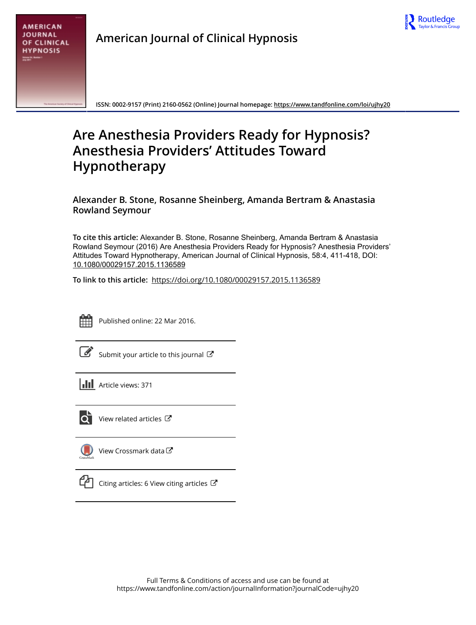

| <b>AMERICAN</b>    |
|--------------------|
| JOURNAL            |
| <b>OF CLINICAL</b> |
| <b>HYPNOSIS</b>    |
| Values In Austral  |

**American Journal of Clinical Hypnosis**

**ISSN: 0002-9157 (Print) 2160-0562 (Online) Journal homepage:<https://www.tandfonline.com/loi/ujhy20>**

# **Are Anesthesia Providers Ready for Hypnosis? Anesthesia Providers' Attitudes Toward Hypnotherapy**

**Alexander B. Stone, Rosanne Sheinberg, Amanda Bertram & Anastasia Rowland Seymour**

**To cite this article:** Alexander B. Stone, Rosanne Sheinberg, Amanda Bertram & Anastasia Rowland Seymour (2016) Are Anesthesia Providers Ready for Hypnosis? Anesthesia Providers' Attitudes Toward Hypnotherapy, American Journal of Clinical Hypnosis, 58:4, 411-418, DOI: [10.1080/00029157.2015.1136589](https://www.tandfonline.com/action/showCitFormats?doi=10.1080/00029157.2015.1136589)

**To link to this article:** <https://doi.org/10.1080/00029157.2015.1136589>



Published online: 22 Mar 2016.

[Submit your article to this journal](https://www.tandfonline.com/action/authorSubmission?journalCode=ujhy20&show=instructions)  $\mathbb{Z}$ 

**Article views: 371** 



[View related articles](https://www.tandfonline.com/doi/mlt/10.1080/00029157.2015.1136589) C



[View Crossmark data](http://crossmark.crossref.org/dialog/?doi=10.1080/00029157.2015.1136589&domain=pdf&date_stamp=2016-03-22)



 $\mathbb{C}$  [Citing articles: 6 View citing articles](https://www.tandfonline.com/doi/citedby/10.1080/00029157.2015.1136589#tabModule)  $\mathbb{C}$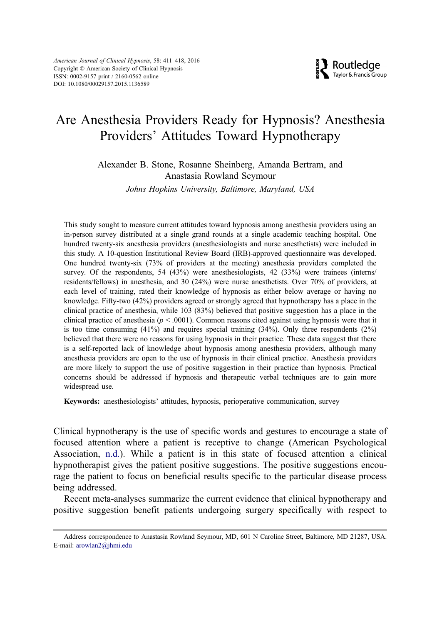

## Are Anesthesia Providers Ready for Hypnosis? Anesthesia Providers' Attitudes Toward Hypnotherapy

Alexander B. Stone, Rosanne Sheinberg, Amanda Bertram, and Anastasia Rowland Seymour

Johns Hopkins University, Baltimore, Maryland, USA

This study sought to measure current attitudes toward hypnosis among anesthesia providers using an in-person survey distributed at a single grand rounds at a single academic teaching hospital. One hundred twenty-six anesthesia providers (anesthesiologists and nurse anesthetists) were included in this study. A 10-question Institutional Review Board (IRB)-approved questionnaire was developed. One hundred twenty-six (73% of providers at the meeting) anesthesia providers completed the survey. Of the respondents, 54 (43%) were anesthesiologists, 42 (33%) were trainees (interns/ residents/fellows) in anesthesia, and 30 (24%) were nurse anesthetists. Over 70% of providers, at each level of training, rated their knowledge of hypnosis as either below average or having no knowledge. Fifty-two (42%) providers agreed or strongly agreed that hypnotherapy has a place in the clinical practice of anesthesia, while 103 (83%) believed that positive suggestion has a place in the clinical practice of anesthesia ( $p < .0001$ ). Common reasons cited against using hypnosis were that it is too time consuming  $(41%)$  and requires special training  $(34%)$ . Only three respondents  $(2%)$ believed that there were no reasons for using hypnosis in their practice. These data suggest that there is a self-reported lack of knowledge about hypnosis among anesthesia providers, although many anesthesia providers are open to the use of hypnosis in their clinical practice. Anesthesia providers are more likely to support the use of positive suggestion in their practice than hypnosis. Practical concerns should be addressed if hypnosis and therapeutic verbal techniques are to gain more widespread use.

Keywords: anesthesiologists' attitudes, hypnosis, perioperative communication, survey

Clinical hypnotherapy is the use of specific words and gestures to encourage a state of focused attention where a patient is receptive to change (American Psychological Association, [n.d.](#page-7-0)). While a patient is in this state of focused attention a clinical hypnotherapist gives the patient positive suggestions. The positive suggestions encourage the patient to focus on beneficial results specific to the particular disease process being addressed.

Recent meta-analyses summarize the current evidence that clinical hypnotherapy and positive suggestion benefit patients undergoing surgery specifically with respect to

Address correspondence to Anastasia Rowland Seymour, MD, 601 N Caroline Street, Baltimore, MD 21287, USA. E-mail: [arowlan2@jhmi.edu](mailto:arowlan2@jhmi.edu)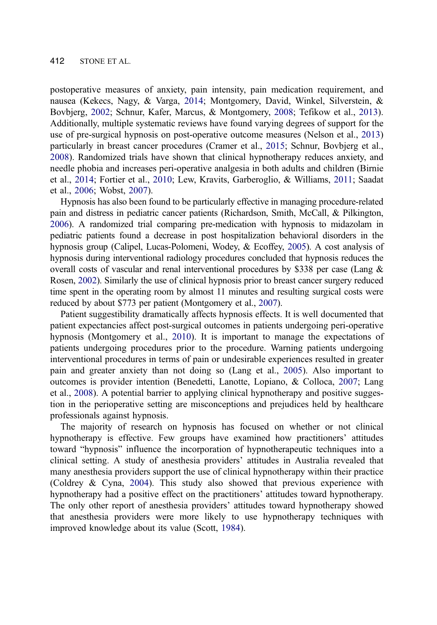postoperative measures of anxiety, pain intensity, pain medication requirement, and nausea (Kekecs, Nagy, & Varga, [2014](#page-7-0); Montgomery, David, Winkel, Silverstein, & Bovbjerg, [2002;](#page-8-0) Schnur, Kafer, Marcus, & Montgomery, [2008](#page-8-0); Tefikow et al., [2013\)](#page-8-0). Additionally, multiple systematic reviews have found varying degrees of support for the use of pre-surgical hypnosis on post-operative outcome measures (Nelson et al., [2013\)](#page-8-0) particularly in breast cancer procedures (Cramer et al., [2015;](#page-7-0) Schnur, Bovbjerg et al., [2008\)](#page-8-0). Randomized trials have shown that clinical hypnotherapy reduces anxiety, and needle phobia and increases peri-operative analgesia in both adults and children (Birnie et al., [2014](#page-7-0); Fortier et al., [2010](#page-7-0); Lew, Kravits, Garberoglio, & Williams, [2011;](#page-7-0) Saadat et al., [2006;](#page-8-0) Wobst, [2007](#page-8-0)).

Hypnosis has also been found to be particularly effective in managing procedure-related pain and distress in pediatric cancer patients (Richardson, Smith, McCall, & Pilkington, [2006](#page-8-0)). A randomized trial comparing pre-medication with hypnosis to midazolam in pediatric patients found a decrease in post hospitalization behavioral disorders in the hypnosis group (Calipel, Lucas-Polomeni, Wodey, & Ecoffey, [2005](#page-7-0)). A cost analysis of hypnosis during interventional radiology procedures concluded that hypnosis reduces the overall costs of vascular and renal interventional procedures by \$338 per case (Lang & Rosen, [2002](#page-7-0)). Similarly the use of clinical hypnosis prior to breast cancer surgery reduced time spent in the operating room by almost 11 minutes and resulting surgical costs were reduced by about \$773 per patient (Montgomery et al., [2007\)](#page-7-0).

Patient suggestibility dramatically affects hypnosis effects. It is well documented that patient expectancies affect post-surgical outcomes in patients undergoing peri-operative hypnosis (Montgomery et al., [2010](#page-8-0)). It is important to manage the expectations of patients undergoing procedures prior to the procedure. Warning patients undergoing interventional procedures in terms of pain or undesirable experiences resulted in greater pain and greater anxiety than not doing so (Lang et al., [2005\)](#page-7-0). Also important to outcomes is provider intention (Benedetti, Lanotte, Lopiano, & Colloca, [2007](#page-7-0); Lang et al., [2008](#page-7-0)). A potential barrier to applying clinical hypnotherapy and positive suggestion in the perioperative setting are misconceptions and prejudices held by healthcare professionals against hypnosis.

The majority of research on hypnosis has focused on whether or not clinical hypnotherapy is effective. Few groups have examined how practitioners' attitudes toward "hypnosis" influence the incorporation of hypnotherapeutic techniques into a clinical setting. A study of anesthesia providers' attitudes in Australia revealed that many anesthesia providers support the use of clinical hypnotherapy within their practice (Coldrey & Cyna, [2004\)](#page-7-0). This study also showed that previous experience with hypnotherapy had a positive effect on the practitioners' attitudes toward hypnotherapy. The only other report of anesthesia providers' attitudes toward hypnotherapy showed that anesthesia providers were more likely to use hypnotherapy techniques with improved knowledge about its value (Scott, [1984](#page-8-0)).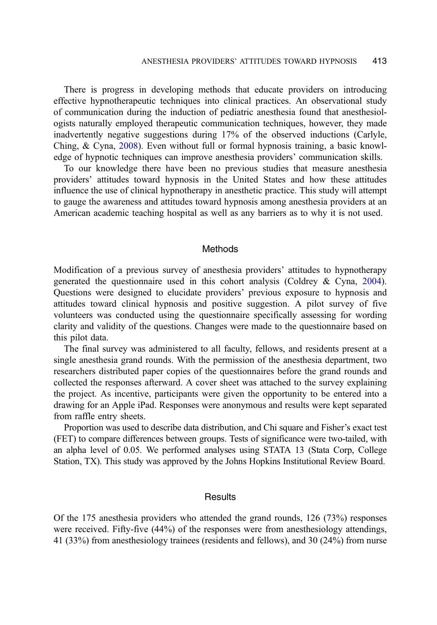There is progress in developing methods that educate providers on introducing effective hypnotherapeutic techniques into clinical practices. An observational study of communication during the induction of pediatric anesthesia found that anesthesiologists naturally employed therapeutic communication techniques, however, they made inadvertently negative suggestions during 17% of the observed inductions (Carlyle, Ching, & Cyna, [2008](#page-7-0)). Even without full or formal hypnosis training, a basic knowledge of hypnotic techniques can improve anesthesia providers' communication skills.

To our knowledge there have been no previous studies that measure anesthesia providers' attitudes toward hypnosis in the United States and how these attitudes influence the use of clinical hypnotherapy in anesthetic practice. This study will attempt to gauge the awareness and attitudes toward hypnosis among anesthesia providers at an American academic teaching hospital as well as any barriers as to why it is not used.

#### Methods

Modification of a previous survey of anesthesia providers' attitudes to hypnotherapy generated the questionnaire used in this cohort analysis (Coldrey & Cyna, [2004\)](#page-7-0). Questions were designed to elucidate providers' previous exposure to hypnosis and attitudes toward clinical hypnosis and positive suggestion. A pilot survey of five volunteers was conducted using the questionnaire specifically assessing for wording clarity and validity of the questions. Changes were made to the questionnaire based on this pilot data.

The final survey was administered to all faculty, fellows, and residents present at a single anesthesia grand rounds. With the permission of the anesthesia department, two researchers distributed paper copies of the questionnaires before the grand rounds and collected the responses afterward. A cover sheet was attached to the survey explaining the project. As incentive, participants were given the opportunity to be entered into a drawing for an Apple iPad. Responses were anonymous and results were kept separated from raffle entry sheets.

Proportion was used to describe data distribution, and Chi square and Fisher's exact test (FET) to compare differences between groups. Tests of significance were two-tailed, with an alpha level of 0.05. We performed analyses using STATA 13 (Stata Corp, College Station, TX). This study was approved by the Johns Hopkins Institutional Review Board.

#### **Results**

Of the 175 anesthesia providers who attended the grand rounds, 126 (73%) responses were received. Fifty-five (44%) of the responses were from anesthesiology attendings, 41 (33%) from anesthesiology trainees (residents and fellows), and 30 (24%) from nurse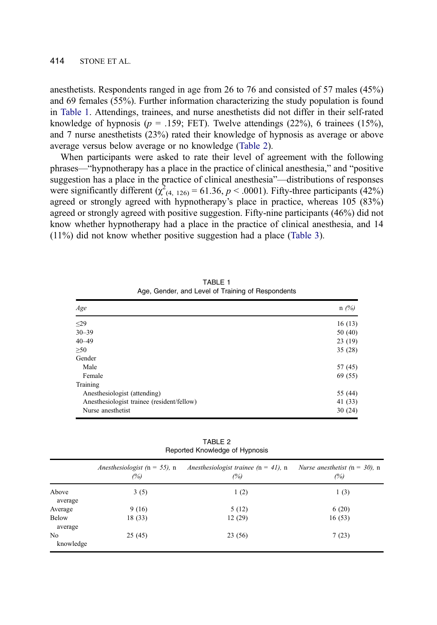anesthetists. Respondents ranged in age from 26 to 76 and consisted of 57 males (45%) and 69 females (55%). Further information characterizing the study population is found in Table 1. Attendings, trainees, and nurse anesthetists did not differ in their self-rated knowledge of hypnosis ( $p = .159$ ; FET). Twelve attendings (22%), 6 trainees (15%), and 7 nurse anesthetists (23%) rated their knowledge of hypnosis as average or above average versus below average or no knowledge (Table 2).

When participants were asked to rate their level of agreement with the following phrases—"hypnotherapy has a place in the practice of clinical anesthesia," and "positive suggestion has a place in the practice of clinical anesthesia"—distributions of responses were significantly different  $(\chi^2_{(4, 126)} = 61.36, p < .0001)$ . Fifty-three participants (42%) agreed or strongly agreed with hypnotherapy's place in practice, whereas 105 (83%) agreed or strongly agreed with positive suggestion. Fifty-nine participants (46%) did not know whether hypnotherapy had a place in the practice of clinical anesthesia, and 14 (11%) did not know whether positive suggestion had a place (Table 3).

| Age                                        | $n(\%)$ |
|--------------------------------------------|---------|
| $\leq$ 29                                  | 16(13)  |
| $30 - 39$                                  | 50(40)  |
| $40 - 49$                                  | 23(19)  |
| $\geq 50$                                  | 35(28)  |
| Gender                                     |         |
| Male                                       | 57 (45) |
| Female                                     | 69 (55) |
| Training                                   |         |
| Anesthesiologist (attending)               | 55 (44) |
| Anesthesiologist trainee (resident/fellow) | 41 (33) |
| Nurse anesthetist                          | 30(24)  |

TABLE 1 Age, Gender, and Level of Training of Respondents

TABLE 2 Reported Knowledge of Hypnosis

|                             | <i>Anesthesiologist</i> ( $n = 55$ ), n<br>(%) | Anesthesiologist trainee ( $n = 41$ ), n<br>(%) | <i>Nurse anesthetist</i> ( $n = 30$ ), n<br>(%) |
|-----------------------------|------------------------------------------------|-------------------------------------------------|-------------------------------------------------|
| Above<br>average            | 3(5)                                           | 1(2)                                            | 1(3)                                            |
| Average                     | 9(16)                                          | 5(12)                                           | 6(20)                                           |
| <b>Below</b><br>average     | 18(33)                                         | 12(29)                                          | 16(53)                                          |
| N <sub>0</sub><br>knowledge | 25(45)                                         | 23(56)                                          | 7(23)                                           |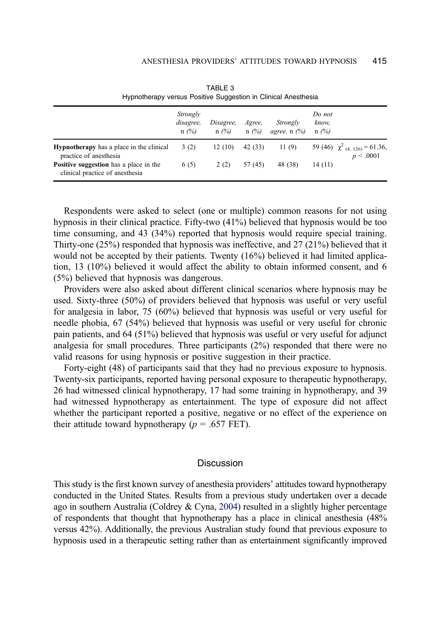|                                                                                  | Strongly<br>disagree,<br>$n(\%)$ | Disagree,<br>$n(\%)$ | Agree.<br>$n(\%)$ | Strongly<br>agree, n $(\%)$ | Do not<br>know,<br>$n(\%)$ |                                                 |
|----------------------------------------------------------------------------------|----------------------------------|----------------------|-------------------|-----------------------------|----------------------------|-------------------------------------------------|
| <b>Hypnotherapy</b> has a place in the clinical<br>practice of anesthesia        | 3(2)                             | 12(10)               | 42(33)            | 11(9)                       |                            | 59 (46) $\chi^2$ (4, 126) = 61.36,<br>p < .0001 |
| <b>Positive suggestion</b> has a place in the<br>clinical practice of anesthesia | 6 (5)                            | 2(2)                 | 57 (45)           | 48 (38)                     | 14(11)                     |                                                 |

TABLE 3 Hypnotherapy versus Positive Suggestion in Clinical Anesthesia

Respondents were asked to select (one or multiple) common reasons for not using hypnosis in their clinical practice. Fifty-two (41%) believed that hypnosis would be too time consuming, and 43 (34%) reported that hypnosis would require special training. Thirty-one  $(25%)$  responded that hypnosis was ineffective, and 27  $(21%)$  believed that it would not be accepted by their patients. Twenty (16%) believed it had limited application, 13 (10%) believed it would affect the ability to obtain informed consent, and 6 (5%) believed that hypnosis was dangerous.

Providers were also asked about different clinical scenarios where hypnosis may be used. Sixty-three (50%) of providers believed that hypnosis was useful or very useful for analgesia in labor, 75 (60%) believed that hypnosis was useful or very useful for needle phobia, 67 (54%) believed that hypnosis was useful or very useful for chronic pain patients, and 64 (51%) believed that hypnosis was useful or very useful for adjunct analgesia for small procedures. Three participants (2%) responded that there were no valid reasons for using hypnosis or positive suggestion in their practice.

Forty-eight (48) of participants said that they had no previous exposure to hypnosis. Twenty-six participants, reported having personal exposure to therapeutic hypnotherapy, 26 had witnessed clinical hypnotherapy, 17 had some training in hypnotherapy, and 39 had witnessed hypnotherapy as entertainment. The type of exposure did not affect whether the participant reported a positive, negative or no effect of the experience on their attitude toward hypnotherapy ( $p = .657$  FET).

#### **Discussion**

This study is the first known survey of anesthesia providers' attitudes toward hypnotherapy conducted in the United States. Results from a previous study undertaken over a decade ago in southern Australia (Coldrey & Cyna, [2004](#page-7-0)) resulted in a slightly higher percentage of respondents that thought that hypnotherapy has a place in clinical anesthesia (48% versus 42%). Additionally, the previous Australian study found that previous exposure to hypnosis used in a therapeutic setting rather than as entertainment significantly improved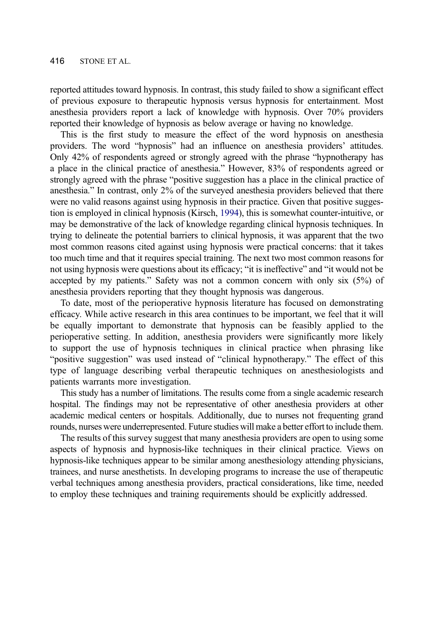reported attitudes toward hypnosis. In contrast, this study failed to show a significant effect of previous exposure to therapeutic hypnosis versus hypnosis for entertainment. Most anesthesia providers report a lack of knowledge with hypnosis. Over 70% providers reported their knowledge of hypnosis as below average or having no knowledge.

This is the first study to measure the effect of the word hypnosis on anesthesia providers. The word "hypnosis" had an influence on anesthesia providers' attitudes. Only 42% of respondents agreed or strongly agreed with the phrase "hypnotherapy has a place in the clinical practice of anesthesia." However, 83% of respondents agreed or strongly agreed with the phrase "positive suggestion has a place in the clinical practice of anesthesia." In contrast, only 2% of the surveyed anesthesia providers believed that there were no valid reasons against using hypnosis in their practice. Given that positive suggestion is employed in clinical hypnosis (Kirsch, [1994](#page-7-0)), this is somewhat counter-intuitive, or may be demonstrative of the lack of knowledge regarding clinical hypnosis techniques. In trying to delineate the potential barriers to clinical hypnosis, it was apparent that the two most common reasons cited against using hypnosis were practical concerns: that it takes too much time and that it requires special training. The next two most common reasons for not using hypnosis were questions about its efficacy; "it is ineffective" and "it would not be accepted by my patients." Safety was not a common concern with only six (5%) of anesthesia providers reporting that they thought hypnosis was dangerous.

To date, most of the perioperative hypnosis literature has focused on demonstrating efficacy. While active research in this area continues to be important, we feel that it will be equally important to demonstrate that hypnosis can be feasibly applied to the perioperative setting. In addition, anesthesia providers were significantly more likely to support the use of hypnosis techniques in clinical practice when phrasing like "positive suggestion" was used instead of "clinical hypnotherapy." The effect of this type of language describing verbal therapeutic techniques on anesthesiologists and patients warrants more investigation.

This study has a number of limitations. The results come from a single academic research hospital. The findings may not be representative of other anesthesia providers at other academic medical centers or hospitals. Additionally, due to nurses not frequenting grand rounds, nurses were underrepresented. Future studies will make a better effort to include them.

The results of this survey suggest that many anesthesia providers are open to using some aspects of hypnosis and hypnosis-like techniques in their clinical practice. Views on hypnosis-like techniques appear to be similar among anesthesiology attending physicians, trainees, and nurse anesthetists. In developing programs to increase the use of therapeutic verbal techniques among anesthesia providers, practical considerations, like time, needed to employ these techniques and training requirements should be explicitly addressed.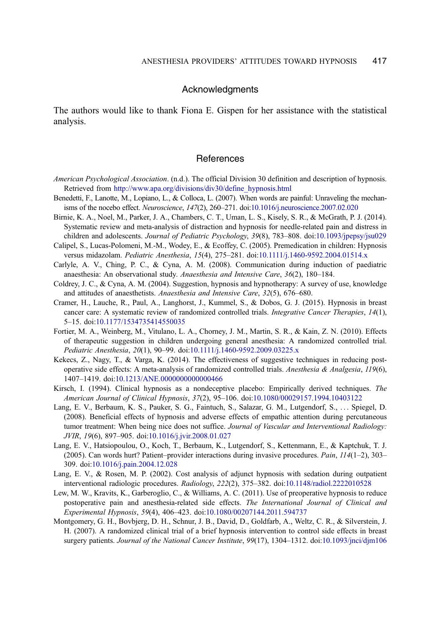#### Acknowledgments

<span id="page-7-0"></span>The authors would like to thank Fiona E. Gispen for her assistance with the statistical analysis.

### **References**

- American Psychological Association. (n.d.). The official Division 30 definition and description of hypnosis. Retrieved from [http://www.apa.org/divisions/div30/define\\_hypnosis.html](http://www.apa.org/divisions/div30/define_hypnosis.html)
- Benedetti, F., Lanotte, M., Lopiano, L., & Colloca, L. (2007). When words are painful: Unraveling the mechan-isms of the nocebo effect. Neuroscience, 147(2), 260–271. doi:[10.1016/j.neuroscience.2007.02.020](http://dx.doi.org/10.1016/j.neuroscience.2007.02.020)
- Birnie, K. A., Noel, M., Parker, J. A., Chambers, C. T., Uman, L. S., Kisely, S. R., & McGrath, P. J. (2014). Systematic review and meta-analysis of distraction and hypnosis for needle-related pain and distress in children and adolescents. Journal of Pediatric Psychology, 39(8), 783–808. doi:[10.1093/jpepsy/jsu029](http://dx.doi.org/10.1093/jpepsy/jsu029)
- Calipel, S., Lucas-Polomeni, M.-M., Wodey, E., & Ecoffey, C. (2005). Premedication in children: Hypnosis versus midazolam. Pediatric Anesthesia, 15(4), 275-281. doi[:10.1111/j.1460-9592.2004.01514.x](http://dx.doi.org/10.1111/j.1460-9592.2004.01514.x)
- Carlyle, A. V., Ching, P. C., & Cyna, A. M. (2008). Communication during induction of paediatric anaesthesia: An observational study. Anaesthesia and Intensive Care, 36(2), 180-184.
- Coldrey, J. C., & Cyna, A. M. (2004). Suggestion, hypnosis and hypnotherapy: A survey of use, knowledge and attitudes of anaesthetists. Anaesthesia and Intensive Care, 32(5), 676–680.
- Cramer, H., Lauche, R., Paul, A., Langhorst, J., Kummel, S., & Dobos, G. J. (2015). Hypnosis in breast cancer care: A systematic review of randomized controlled trials. Integrative Cancer Therapies, 14(1), 5–15. doi:[10.1177/1534735414550035](http://dx.doi.org/10.1177/1534735414550035)
- Fortier, M. A., Weinberg, M., Vitulano, L. A., Chorney, J. M., Martin, S. R., & Kain, Z. N. (2010). Effects of therapeutic suggestion in children undergoing general anesthesia: A randomized controlled trial. Pediatric Anesthesia, 20(1), 90–99. doi[:10.1111/j.1460-9592.2009.03225.x](http://dx.doi.org/10.1111/j.1460-9592.2009.03225.x)
- Kekecs, Z., Nagy, T., & Varga, K. (2014). The effectiveness of suggestive techniques in reducing postoperative side effects: A meta-analysis of randomized controlled trials. Anesthesia & Analgesia, 119(6), 1407–1419. doi[:10.1213/ANE.0000000000000466](http://dx.doi.org/10.1213/ANE.0000000000000466)
- Kirsch, I. (1994). Clinical hypnosis as a nondeceptive placebo: Empirically derived techniques. The American Journal of Clinical Hypnosis, 37(2), 95–106. doi[:10.1080/00029157.1994.10403122](http://dx.doi.org/10.1080/00029157.1994.10403122)
- Lang, E. V., Berbaum, K. S., Pauker, S. G., Faintuch, S., Salazar, G. M., Lutgendorf, S., . . . Spiegel, D. (2008). Beneficial effects of hypnosis and adverse effects of empathic attention during percutaneous tumor treatment: When being nice does not suffice. Journal of Vascular and Interventional Radiology: JVIR, 19(6), 897–905. doi[:10.1016/j.jvir.2008.01.027](http://dx.doi.org/10.1016/j.jvir.2008.01.027)
- Lang, E. V., Hatsiopoulou, O., Koch, T., Berbaum, K., Lutgendorf, S., Kettenmann, E., & Kaptchuk, T. J. (2005). Can words hurt? Patient–provider interactions during invasive procedures. Pain,  $114(1-2)$ , 303– 309. doi[:10.1016/j.pain.2004.12.028](http://dx.doi.org/10.1016/j.pain.2004.12.028)
- Lang, E. V., & Rosen, M. P. (2002). Cost analysis of adjunct hypnosis with sedation during outpatient interventional radiologic procedures. Radiology, 222(2), 375–382. doi[:10.1148/radiol.2222010528](http://dx.doi.org/10.1148/radiol.2222010528)
- Lew, M. W., Kravits, K., Garberoglio, C., & Williams, A. C. (2011). Use of preoperative hypnosis to reduce postoperative pain and anesthesia-related side effects. The International Journal of Clinical and Experimental Hypnosis, 59(4), 406–423. doi:[10.1080/00207144.2011.594737](http://dx.doi.org/10.1080/00207144.2011.594737)
- Montgomery, G. H., Bovbjerg, D. H., Schnur, J. B., David, D., Goldfarb, A., Weltz, C. R., & Silverstein, J. H. (2007). A randomized clinical trial of a brief hypnosis intervention to control side effects in breast surgery patients. Journal of the National Cancer Institute, 99(17), 1304-1312. doi:[10.1093/jnci/djm106](http://dx.doi.org/10.1093/jnci/djm106)